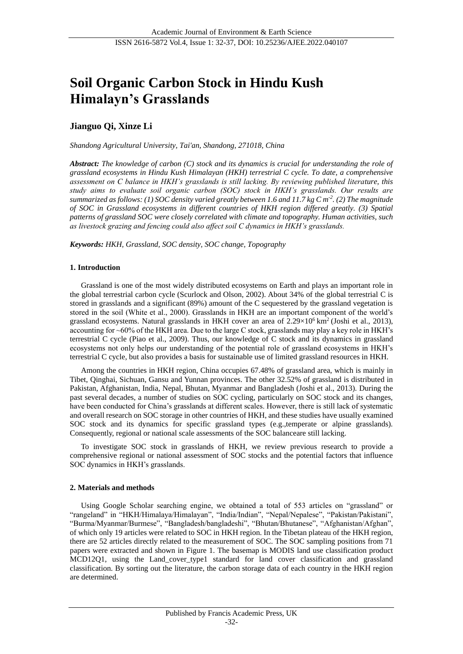# **Soil Organic Carbon Stock in Hindu Kush Himalayn's Grasslands**

## **Jianguo Qi, Xinze Li**

*Shandong Agricultural University, Tai'an, Shandong, 271018, China*

*Abstract: The knowledge of carbon (C) stock and its dynamics is crucial for understanding the role of grassland ecosystems in Hindu Kush Himalayan (HKH) terrestrial C cycle. To date, a comprehensive assessment on C balance in HKH's grasslands is still lacking. By reviewing published literature, this study aims to evaluate soil organic carbon (SOC) stock in HKH's grasslands. Our results are summarized as follows: (1) SOC density varied greatly between 1.6 and 11.7 kg C m-2 . (2) The magnitude of SOC in Grassland ecosystems in different countries of HKH region differed greatly. (3) Spatial patterns of grassland SOC were closely correlated with climate and topography. Human activities, such as livestock grazing and fencing could also affect soil C dynamics in HKH's grasslands.*

*Keywords: HKH, Grassland, SOC density, SOC change, Topography*

#### **1. Introduction**

Grassland is one of the most widely distributed ecosystems on Earth and plays an important role in the global terrestrial carbon cycle (Scurlock and Olson, 2002). About 34% of the global terrestrial C is stored in grasslands and a significant (89%) amount of the C sequestered by the grassland vegetation is stored in the soil (White et al., 2000). Grasslands in HKH are an important component of the world's grassland ecosystems. Natural grasslands in HKH cover an area of  $2.29 \times 10^6$  km<sup>2</sup> (Joshi et al., 2013), accounting for ~60% of the HKH area. Due to the large C stock, grasslands may play a key role in HKH's terrestrial C cycle (Piao et al., 2009). Thus, our knowledge of C stock and its dynamics in grassland ecosystems not only helps our understanding of the potential role of grassland ecosystems in HKH's terrestrial C cycle, but also provides a basis for sustainable use of limited grassland resources in HKH.

Among the countries in HKH region, China occupies 67.48% of grassland area, which is mainly in Tibet, Qinghai, Sichuan, Gansu and Yunnan provinces. The other 32.52% of grassland is distributed in Pakistan, Afghanistan, India, Nepal, Bhutan, Myanmar and Bangladesh (Joshi et al., 2013). During the past several decades, a number of studies on SOC cycling, particularly on SOC stock and its changes, have been conducted for China's grasslands at different scales. However, there is still lack of systematic and overall research on SOC storage in other countries of HKH, and these studies have usually examined SOC stock and its dynamics for specific grassland types (e.g.,temperate or alpine grasslands). Consequently, regional or national scale assessments of the SOC balanceare still lacking.

To investigate SOC stock in grasslands of HKH, we review previous research to provide a comprehensive regional or national assessment of SOC stocks and the potential factors that influence SOC dynamics in HKH's grasslands.

#### **2. Materials and methods**

Using Google Scholar searching engine, we obtained a total of 553 articles on "grassland" or "rangeland" in "HKH/Himalaya/Himalayan", "India/Indian", "Nepal/Nepalese", "Pakistan/Pakistani", "Burma/Myanmar/Burmese", "Bangladesh/bangladeshi", "Bhutan/Bhutanese", "Afghanistan/Afghan", of which only 19 articles were related to SOC in HKH region. In the Tibetan plateau of the HKH region, there are 52 articles directly related to the measurement of SOC. The SOC sampling positions from 71 papers were extracted and shown in Figure 1. The basemap is MODIS land use classification product MCD12Q1, using the Land\_cover\_type1 standard for land cover classification and grassland classification. By sorting out the literature, the carbon storage data of each country in the HKH region are determined.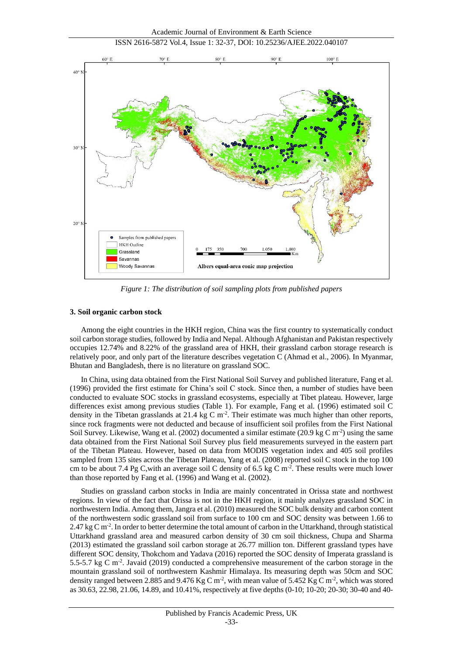

*Figure 1: The distribution of soil sampling plots from published papers*

#### **3. Soil organic carbon stock**

Among the eight countries in the HKH region, China was the first country to systematically conduct soil carbon storage studies, followed by India and Nepal. Although Afghanistan and Pakistan respectively occupies 12.74% and 8.22% of the grassland area of HKH, their grassland carbon storage research is relatively poor, and only part of the literature describes vegetation C (Ahmad et al., 2006). In Myanmar, Bhutan and Bangladesh, there is no literature on grassland SOC.

In China, using data obtained from the First National Soil Survey and published literature, Fang et al. (1996) provided the first estimate for China's soil C stock. Since then, a number of studies have been conducted to evaluate SOC stocks in grassland ecosystems, especially at Tibet plateau. However, large differences exist among previous studies (Table 1). For example, Fang et al. (1996) estimated soil C density in the Tibetan grasslands at 21.4 kg C  $\mathrm{m}^2$ . Their estimate was much higher than other reports, since rock fragments were not deducted and because of insufficient soil profiles from the First National Soil Survey. Likewise, Wang et al.  $(2002)$  documented a similar estimate  $(20.9 \text{ kg C m}^{-2})$  using the same data obtained from the First National Soil Survey plus field measurements surveyed in the eastern part of the Tibetan Plateau. However, based on data from MODIS vegetation index and 405 soil profiles sampled from 135 sites across the Tibetan Plateau, Yang et al. (2008) reported soil C stock in the top 100 cm to be about 7.4 Pg C, with an average soil C density of 6.5 kg C  $\mathrm{m}^2$ . These results were much lower than those reported by Fang et al. (1996) and Wang et al. (2002).

Studies on grassland carbon stocks in India are mainly concentrated in Orissa state and northwest regions. In view of the fact that Orissa is not in the HKH region, it mainly analyzes grassland SOC in northwestern India. Among them, Jangra et al. (2010) measured the SOC bulk density and carbon content of the northwestern sodic grassland soil from surface to 100 cm and SOC density was between 1.66 to 2.47 kg C m<sup>-2</sup>. In order to better determine the total amount of carbon in the Uttarkhand, through statistical Uttarkhand grassland area and measured carbon density of 30 cm soil thickness, Chupa and Sharma (2013) estimated the grassland soil carbon storage at 26.77 million ton. Different grassland types have different SOC density, Thokchom and Yadava (2016) reported the SOC density of Imperata grassland is 5.5-5.7 kg C m<sup>-2</sup>. Javaid (2019) conducted a comprehensive measurement of the carbon storage in the mountain grassland soil of northwestern Kashmir Himalaya. Its measuring depth was 50cm and SOC density ranged between 2.885 and 9.476 Kg C m<sup>-2</sup>, with mean value of 5.452 Kg C m<sup>-2</sup>, which was stored as 30.63, 22.98, 21.06, 14.89, and 10.41%, respectively at five depths (0-10; 10-20; 20-30; 30-40 and 40-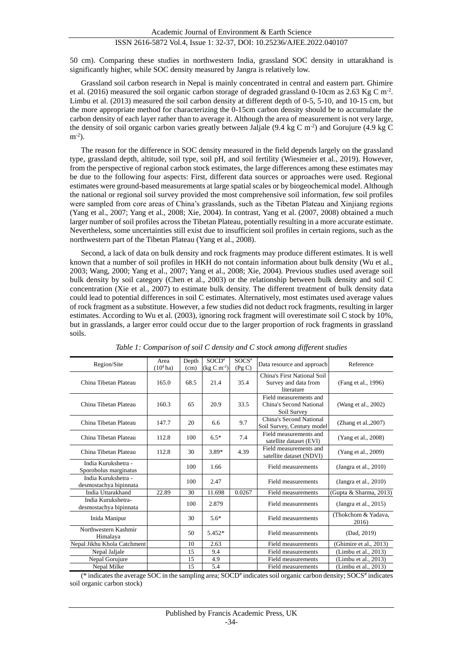## ISSN 2616-5872 Vol.4, Issue 1: 32-37, DOI: 10.25236/AJEE.2022.040107

50 cm). Comparing these studies in northwestern India, grassland SOC density in uttarakhand is significantly higher, while SOC density measured by Jangra is relatively low.

Grassland soil carbon research in Nepal is mainly concentrated in central and eastern part. Ghimire et al. (2016) measured the soil organic carbon storage of degraded grassland 0-10cm as 2.63 Kg C m<sup>-2</sup>. Limbu et al. (2013) measured the soil carbon density at different depth of 0-5, 5-10, and 10-15 cm, but the more appropriate method for characterizing the 0-15cm carbon density should be to accumulate the carbon density of each layer rather than to average it. Although the area of measurement is not very large, the density of soil organic carbon varies greatly between Jaljale  $(9.4 \text{ kg C m}^2)$  and Gorujure  $(4.9 \text{ kg C})$  $m^{-2}$ ).

The reason for the difference in SOC density measured in the field depends largely on the grassland type, grassland depth, altitude, soil type, soil pH, and soil fertility (Wiesmeier et al., 2019). However, from the perspective of regional carbon stock estimates, the large differences among these estimates may be due to the following four aspects: First, different data sources or approaches were used. Regional estimates were ground-based measurements at large spatial scales or by biogeochemical model. Although the national or regional soil survey provided the most comprehensive soil information, few soil profiles were sampled from core areas of China's grasslands, such as the Tibetan Plateau and Xinjiang regions (Yang et al., 2007; Yang et al., 2008; Xie, 2004). In contrast, Yang et al. (2007, 2008) obtained a much larger number of soil profiles across the Tibetan Plateau, potentially resulting in a more accurate estimate. Nevertheless, some uncertainties still exist due to insufficient soil profiles in certain regions, such as the northwestern part of the Tibetan Plateau (Yang et al., 2008).

Second, a lack of data on bulk density and rock fragments may produce different estimates. It is well known that a number of soil profiles in HKH do not contain information about bulk density (Wu et al., 2003; Wang, 2000; Yang et al., 2007; Yang et al., 2008; Xie, 2004). Previous studies used average soil bulk density by soil category (Chen et al., 2003) or the relationship between bulk density and soil C concentration (Xie et al., 2007) to estimate bulk density. The different treatment of bulk density data could lead to potential differences in soil C estimates. Alternatively, most estimates used average values of rock fragment as a substitute. However, a few studies did not deduct rock fragments, resulting in larger estimates. According to Wu et al. (2003), ignoring rock fragment will overestimate soil C stock by 10%, but in grasslands, a larger error could occur due to the larger proportion of rock fragments in grassland soils.

| Region/Site                                   | Area<br>$(10^4$ ha) | Depth<br>(cm) | $SOCD^*$<br>$(\text{kg C m}^{-2})$ | $SOCS$ #<br>(Pg C) | Data resource and approach                                        | Reference                    |
|-----------------------------------------------|---------------------|---------------|------------------------------------|--------------------|-------------------------------------------------------------------|------------------------------|
| China Tibetan Plateau                         | 165.0               | 68.5          | 21.4                               | 35.4               | China's First National Soil<br>Survey and data from<br>literature | (Fang et al., 1996)          |
| China Tibetan Plateau                         | 160.3               | 65            | 20.9                               | 33.5               | Field measurements and<br>China's Second National<br>Soil Survey  | (Wang et al., 2002)          |
| China Tibetan Plateau                         | 147.7               | 20            | 6.6                                | 9.7                | China's Second National<br>Soil Survey, Century model             | (Zhang et al., $2007$ )      |
| China Tibetan Plateau                         | 112.8               | 100           | $6.5*$                             | 7.4                | Field measurements and<br>satellite dataset (EVI)                 | (Yang et al., 2008)          |
| China Tibetan Plateau                         | 112.8               | 30            | 3.89*                              | 4.39               | Field measurements and<br>satellite dataset (NDVI)                | (Yang et al., 2009)          |
| India Kurukshetra -<br>Sporobolus marginatus  |                     | 100           | 1.66                               |                    | Field measurements                                                | (Jangra et al., $2010$ )     |
| India Kurukshetra -<br>desmostachya bipinnata |                     | 100           | 2.47                               |                    | Field measurements                                                | (Jangra et al., $2010$ )     |
| India Uttarakhand                             | 22.89               | 30            | 11.698                             | 0.0267             | Field measurements                                                | (Gupta & Sharma, 2013)       |
| India Kurukshetra-<br>desmostachya bipinnata  |                     | 100           | 2.879                              |                    | Field measurements                                                | (Jangra et al., $2015$ )     |
| Inida Manipur                                 |                     | 30            | $5.6*$                             |                    | <b>Field measurements</b>                                         | (Thokchom & Yadava,<br>2016) |
| Northwestern Kashmir<br>Himalaya              |                     | 50            | 5.452*                             |                    | Field measurements                                                | (Dad, 2019)                  |
| Nepal Jikhu Khola Catchment                   |                     | 10            | 2.63                               |                    | Field measurements                                                | (Ghimire et al., 2013)       |
| Nepal Jaljale                                 |                     | 15            | 9.4                                |                    | Field measurements                                                | (Limbu et al., 2013)         |
| Nepal Gorujure                                |                     | 15            | 4.9                                |                    | Field measurements                                                | (Limbu et al., 2013)         |
| Nepal Milke                                   |                     | 15            | 5.4                                |                    | Field measurements                                                | (Limbu et al., 2013)         |

*Table 1: Comparison of soil C density and C stock among different studies*

(\* indicates the average SOC in the sampling area; SOCD# indicates soil organic carbon density; SOCS# indicates soil organic carbon stock)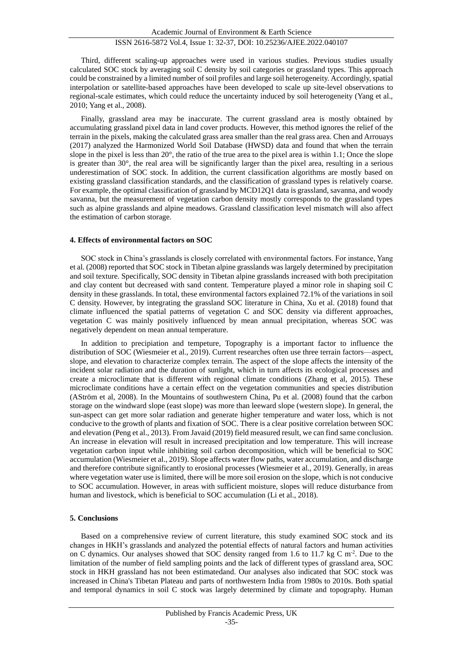Third, different scaling-up approaches were used in various studies. Previous studies usually calculated SOC stock by averaging soil C density by soil categories or grassland types. This approach could be constrained by a limited number of soil profiles and large soil heterogeneity. Accordingly, spatial interpolation or satellite-based approaches have been developed to scale up site-level observations to regional-scale estimates, which could reduce the uncertainty induced by soil heterogeneity (Yang et al., 2010; Yang et al., 2008).

Finally, grassland area may be inaccurate. The current grassland area is mostly obtained by accumulating grassland pixel data in land cover products. However, this method ignores the relief of the terrain in the pixels, making the calculated grass area smaller than the real grass area. Chen and Arrouays (2017) analyzed the Harmonized World Soil Database (HWSD) data and found that when the terrain slope in the pixel is less than 20 $\degree$ , the ratio of the true area to the pixel area is within 1.1; Once the slope is greater than 30°, the real area will be significantly larger than the pixel area, resulting in a serious underestimation of SOC stock. In addition, the current classification algorithms are mostly based on existing grassland classification standards, and the classification of grassland types is relatively coarse. For example, the optimal classification of grassland by MCD12Q1 data is grassland, savanna, and woody savanna, but the measurement of vegetation carbon density mostly corresponds to the grassland types such as alpine grasslands and alpine meadows. Grassland classification level mismatch will also affect the estimation of carbon storage.

#### **4. Effects of environmental factors on SOC**

SOC stock in China's grasslands is closely correlated with environmental factors. For instance, Yang et al. (2008) reported that SOC stock in Tibetan alpine grasslands was largely determined by precipitation and soil texture. Specifically, SOC density in Tibetan alpine grasslands increased with both precipitation and clay content but decreased with sand content. Temperature played a minor role in shaping soil C density in these grasslands. In total, these environmental factors explained 72.1% of the variations in soil C density. However, by integrating the grassland SOC literature in China, Xu et al. (2018) found that climate influenced the spatial patterns of vegetation C and SOC density via different approaches, vegetation C was mainly positively influenced by mean annual precipitation, whereas SOC was negatively dependent on mean annual temperature.

In addition to precipiation and tempeture, Topography is a important factor to influence the distribution of SOC (Wiesmeier et al., 2019). Current researches often use three terrain factors—aspect, slope, and elevation to characterize complex terrain. The aspect of the slope affects the intensity of the incident solar radiation and the duration of sunlight, which in turn affects its ecological processes and create a microclimate that is different with regional climate conditions (Zhang et al, 2015). These microclimate conditions have a certain effect on the vegetation communities and species distribution (AStröm et al, 2008). In the Mountains of southwestern China, Pu et al. (2008) found that the carbon storage on the windward slope (east slope) was more than leeward slope (western slope). In general, the sun-aspect can get more solar radiation and generate higher temperature and water loss, which is not conducive to the growth of plants and fixation of SOC. There is a clear positive correlation between SOC and elevation (Peng et al., 2013). From Javaid (2019) field measured result, we can find same conclusion. An increase in elevation will result in increased precipitation and low temperature. This will increase vegetation carbon input while inhibiting soil carbon decomposition, which will be beneficial to SOC accumulation (Wiesmeier et al., 2019). Slope affects water flow paths, water accumulation, and discharge and therefore contribute significantly to erosional processes (Wiesmeier et al., 2019). Generally, in areas where vegetation water use is limited, there will be more soil erosion on the slope, which is not conducive to SOC accumulation. However, in areas with sufficient moisture, slopes will reduce disturbance from human and livestock, which is beneficial to SOC accumulation (Li et al., 2018).

### **5. Conclusions**

Based on a comprehensive review of current literature, this study examined SOC stock and its changes in HKH's grasslands and analyzed the potential effects of natural factors and human activities on C dynamics. Our analyses showed that SOC density ranged from 1.6 to 11.7 kg C m<sup>-2</sup>. Due to the limitation of the number of field sampling points and the lack of different types of grassland area, SOC stock in HKH grassland has not been estimatedand. Our analyses also indicated that SOC stock was increased in China's Tibetan Plateau and parts of northwestern India from 1980s to 2010s. Both spatial and temporal dynamics in soil C stock was largely determined by climate and topography. Human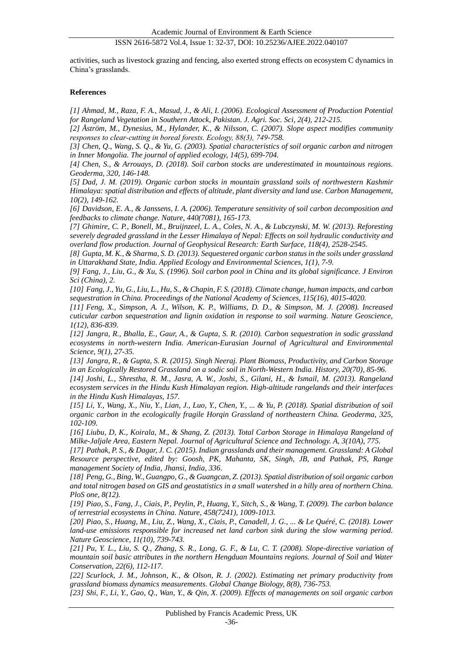## ISSN 2616-5872 Vol.4, Issue 1: 32-37, DOI: 10.25236/AJEE.2022.040107

activities, such as livestock grazing and fencing, also exerted strong effects on ecosystem C dynamics in China's grasslands.

#### **References**

*[1] Ahmad, M., Raza, F. A., Masud, J., & Ali, I. (2006). Ecological Assessment of Production Potential for Rangeland Vegetation in Southern Attock, Pakistan. J. Agri. Soc. Sci, 2(4), 212-215.*

*[2] Åström, M., Dynesius, M., Hylander, K., & Nilsson, C. (2007). Slope aspect modifies community responses to clear‐cutting in boreal forests. Ecology, 88(3), 749-758.*

*[3] Chen, Q., Wang, S. Q., & Yu, G. (2003). Spatial characteristics of soil organic carbon and nitrogen in Inner Mongolia. The journal of applied ecology, 14(5), 699-704.*

*[4] Chen, S., & Arrouays, D. (2018). Soil carbon stocks are underestimated in mountainous regions. Geoderma, 320, 146-148.*

*[5] Dad, J. M. (2019). Organic carbon stocks in mountain grassland soils of northwestern Kashmir Himalaya: spatial distribution and effects of altitude, plant diversity and land use. Carbon Management, 10(2), 149-162.*

*[6] Davidson, E. A., & Janssens, I. A. (2006). Temperature sensitivity of soil carbon decomposition and feedbacks to climate change. Nature, 440(7081), 165-173.*

*[7] Ghimire, C. P., Bonell, M., Bruijnzeel, L. A., Coles, N. A., & Lubczynski, M. W. (2013). Reforesting severely degraded grassland in the Lesser Himalaya of Nepal: Effects on soil hydraulic conductivity and overland flow production. Journal of Geophysical Research: Earth Surface, 118(4), 2528-2545.*

*[8] Gupta, M. K., & Sharma, S. D. (2013). Sequestered organic carbon status in the soils under grassland in Uttarakhand State, India. Applied Ecology and Environmental Sciences, 1(1), 7-9.*

*[9] Fang, J., Liu, G., & Xu, S. (1996). Soil carbon pool in China and its global significance. J Environ Sci (China), 2.*

*[10] Fang, J., Yu, G., Liu, L., Hu, S., & Chapin, F. S. (2018). Climate change, human impacts, and carbon sequestration in China. Proceedings of the National Academy of Sciences, 115(16), 4015-4020.*

*[11] Feng, X., Simpson, A. J., Wilson, K. P., Williams, D. D., & Simpson, M. J. (2008). Increased cuticular carbon sequestration and lignin oxidation in response to soil warming. Nature Geoscience, 1(12), 836-839.*

*[12] Jangra, R., Bhalla, E., Gaur, A., & Gupta, S. R. (2010). Carbon sequestration in sodic grassland ecosystems in north-western India. American-Eurasian Journal of Agricultural and Environmental Science, 9(1), 27-35.*

*[13] Jangra, R., & Gupta, S. R. (2015). Singh Neeraj. Plant Biomass, Productivity, and Carbon Storage in an Ecologically Restored Grassland on a sodic soil in North-Western India. History, 20(70), 85-96. [14] Joshi, L., Shrestha, R. M., Jasra, A. W., Joshi, S., Gilani, H., & Ismail, M. (2013). Rangeland* 

*ecosystem services in the Hindu Kush Himalayan region. High-altitude rangelands and their interfaces in the Hindu Kush Himalayas, 157. [15] Li, Y., Wang, X., Niu, Y., Lian, J., Luo, Y., Chen, Y., ... & Yu, P. (2018). Spatial distribution of soil* 

*organic carbon in the ecologically fragile Horqin Grassland of northeastern China. Geoderma, 325, 102-109.*

*[16] Liubu, D, K., Koirala, M., & Shang, Z. (2013). Total Carbon Storage in Himalaya Rangeland of Milke-Jaljale Area, Eastern Nepal. Journal of Agricultural Science and Technology. A, 3(10A), 775.*

*[17] Pathak, P. S., & Dagar, J. C. (2015). Indian grasslands and their management. Grassland: A Global Resource perspective, edited by: Goosh, PK, Mahanta, SK, Singh, JB, and Pathak, PS, Range management Society of India, Jhansi, India, 336.*

*[18] Peng, G., Bing, W., Guangpo, G., & Guangcan, Z. (2013). Spatial distribution of soil organic carbon and total nitrogen based on GIS and geostatistics in a small watershed in a hilly area of northern China. PloS one, 8(12).*

*[19] Piao, S., Fang, J., Ciais, P., Peylin, P., Huang, Y., Sitch, S., & Wang, T. (2009). The carbon balance of terrestrial ecosystems in China. Nature, 458(7241), 1009-1013.*

*[20] Piao, S., Huang, M., Liu, Z., Wang, X., Ciais, P., Canadell, J. G., ... & Le Quéré, C. (2018). Lower land-use emissions responsible for increased net land carbon sink during the slow warming period. Nature Geoscience, 11(10), 739-743.*

*[21] Pu, Y. L., Liu, S. Q., Zhang, S. R., Long, G. F., & Lu, C. T. (2008). Slope-directive variation of mountain soil basic attributes in the northern Hengduan Mountains regions. Journal of Soil and Water Conservation, 22(6), 112-117.*

*[22] Scurlock, J. M., Johnson, K., & Olson, R. J. (2002). Estimating net primary productivity from grassland biomass dynamics measurements. Global Change Biology, 8(8), 736-753.*

*[23] Shi, F., Li, Y., Gao, Q., Wan, Y., & Qin, X. (2009). Effects of managements on soil organic carbon*